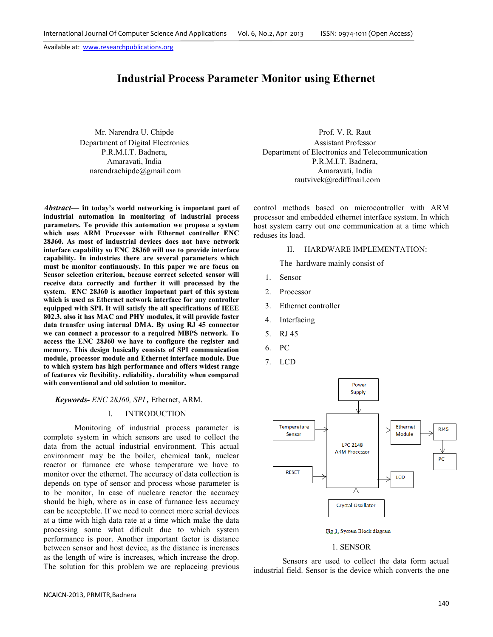# **Industrial Process Parameter Monitor using Ethernet**

Mr. Narendra U. Chipde Department of Digital Electronics P.R.M.I.T. Badnera, Amaravati, India narendrachipde@gmail.com

*Abstract***— in today's world networking is important part of industrial automation in monitoring of industrial process parameters. To provide this automation we propose a system which uses ARM Processor with Ethernet controller ENC 28J60. As most of industrial devices does not have network interface capability so ENC 28J60 will use to provide interface capability. In industries there are several parameters which must be monitor continuously. In this paper we are focus on Sensor selection criterion, because correct selected sensor will receive data correctly and further it will processed by the system. ENC 28J60 is another important part of this system which is used as Ethernet network interface for any controller equipped with SPI. It will satisfy the all specifications of IEEE 802.3, also it has MAC and PHY modules, it will provide faster data transfer using internal DMA. By using RJ 45 connector we can connect a processor to a required MBPS network. To access the ENC 28J60 we have to configure the register and memory. This design basically consists of SPI communication module, processor module and Ethernet interface module. Due to which system has high performance and offers widest range of features viz flexibility, reliability, durability when compared with conventional and old solution to monitor.** 

*Keywords- ENC 28J60, SPI ,* Ethernet, ARM.

# I. INTRODUCTION

Monitoring of industrial process parameter is complete system in which sensors are used to collect the data from the actual industrial environment. This actual environment may be the boiler, chemical tank, nuclear reactor or furnance etc whose temperature we have to monitor over the ethernet. The accuracy of data collection is depends on type of sensor and process whose parameter is to be monitor, In case of nucleare reactor the accuracy should be high, where as in case of furnance less accuracy can be accepteble. If we need to connect more serial devices at a time with high data rate at a time which make the data processing some what dificult due to which system performance is poor. Another important factor is distance between sensor and host device, as the distance is increases as the length of wire is increases, which increase the drop. The solution for this problem we are replaceing previous

NCAICN-2013, PRMITR,Badnera

Prof. V. R. Raut Assistant Professor Department of Electronics and Telecommunication P.R.M.I.T. Badnera, Amaravati, India rautvivek@rediffmail.com

control methods based on microcontroller with ARM processor and embedded ethernet interface system. In which host system carry out one communication at a time which reduses its load.

#### II. HARDWARE IMPLEMENTATION:

The hardware mainly consist of

- 1. Sensor
- 2. Processor
- 3. Ethernet controller
- 4. Interfacing
- 5. RJ 45
- 6. PC
- 7. LCD



Fig.1. System Block diagram

## 1. SENSOR

Sensors are used to collect the data form actual industrial field. Sensor is the device which converts the one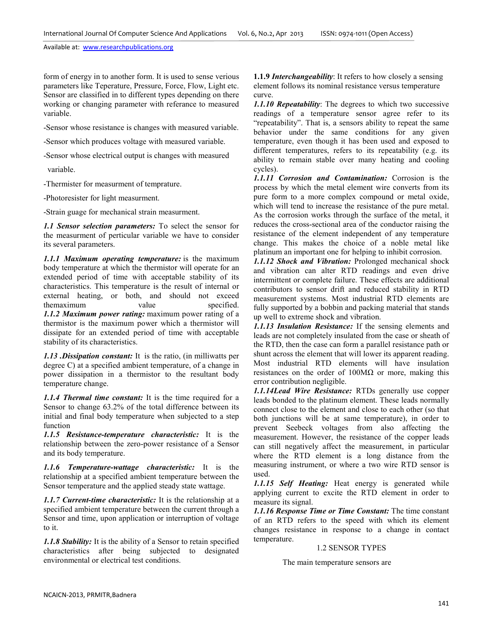form of energy in to another form. It is used to sense verious parameters like Teperature, Pressure, Force, Flow, Light etc. Sensor are classified in to different types depending on there working or changing parameter with referance to measured variable.

-Sensor whose resistance is changes with measured variable.

-Sensor which produces voltage with measured variable.

-Sensor whose electrical output is changes with measured

variable.

-Thermister for measurment of temprature.

-Photoresister for light measurment.

-Strain guage for mechanical strain measurment.

*1.1 Sensor selection parameters:* To select the sensor for the measurment of perticular variable we have to consider its several parameters.

*1.1.1 Maximum operating temperature:* is the maximum body temperature at which the thermistor will operate for an extended period of time with acceptable stability of its characteristics. This temperature is the result of internal or external heating, or both, and should not exceed themaximum value specified. *1.1.2 Maximum power rating:* maximum power rating of a thermistor is the maximum power which a thermistor will dissipate for an extended period of time with acceptable stability of its characteristics.

*1.13 .Dissipation constant:* It is the ratio, (in milliwatts per degree C) at a specified ambient temperature, of a change in power dissipation in a thermistor to the resultant body temperature change.

*1.1.4 Thermal time constant:* It is the time required for a Sensor to change 63.2% of the total difference between its initial and final body temperature when subjected to a step function

*1.1.5 Resistance-temperature characteristic:* It is the relationship between the zero-power resistance of a Sensor and its body temperature.

*1.1.6 Temperature-wattage characteristic:* It is the relationship at a specified ambient temperature between the Sensor temperature and the applied steady state wattage.

*1.1.7 Current-time characteristic:* It is the relationship at a specified ambient temperature between the current through a Sensor and time, upon application or interruption of voltage to it.

*1.1.8 Stability:* It is the ability of a Sensor to retain specified characteristics after being subjected to designated environmental or electrical test conditions.

**1.1.9** *Interchangeability*: It refers to how closely a sensing element follows its nominal resistance versus temperature curve.

*1.1.10 Repeatability*: The degrees to which two successive readings of a temperature sensor agree refer to its "repeatability". That is, a sensors ability to repeat the same behavior under the same conditions for any given temperature, even though it has been used and exposed to different temperatures, refers to its repeatability (e.g. its ability to remain stable over many heating and cooling cycles).

*1.1.11 Corrosion and Contamination:* Corrosion is the process by which the metal element wire converts from its pure form to a more complex compound or metal oxide, which will tend to increase the resistance of the pure metal. As the corrosion works through the surface of the metal, it reduces the cross-sectional area of the conductor raising the resistance of the element independent of any temperature change. This makes the choice of a noble metal like platinum an important one for helping to inhibit corrosion.

*1.1.12 Shock and Vibration:* Prolonged mechanical shock and vibration can alter RTD readings and even drive intermittent or complete failure. These effects are additional contributors to sensor drift and reduced stability in RTD measurement systems. Most industrial RTD elements are fully supported by a bobbin and packing material that stands up well to extreme shock and vibration.

*1.1.13 Insulation Resistance:* If the sensing elements and leads are not completely insulated from the case or sheath of the RTD, then the case can form a parallel resistance path or shunt across the element that will lower its apparent reading. Most industrial RTD elements will have insulation resistances on the order of  $100M\Omega$  or more, making this error contribution negligible.

*1.1.14Lead Wire Resistance:* RTDs generally use copper leads bonded to the platinum element. These leads normally connect close to the element and close to each other (so that both junctions will be at same temperature), in order to prevent Seebeck voltages from also affecting the measurement. However, the resistance of the copper leads can still negatively affect the measurement, in particular where the RTD element is a long distance from the measuring instrument, or where a two wire RTD sensor is used.

*1.1.15 Self Heating:* Heat energy is generated while applying current to excite the RTD element in order to measure its signal.

*1.1.16 Response Time or Time Constant:* The time constant of an RTD refers to the speed with which its element changes resistance in response to a change in contact temperature.

# 1.2 SENSOR TYPES

The main temperature sensors are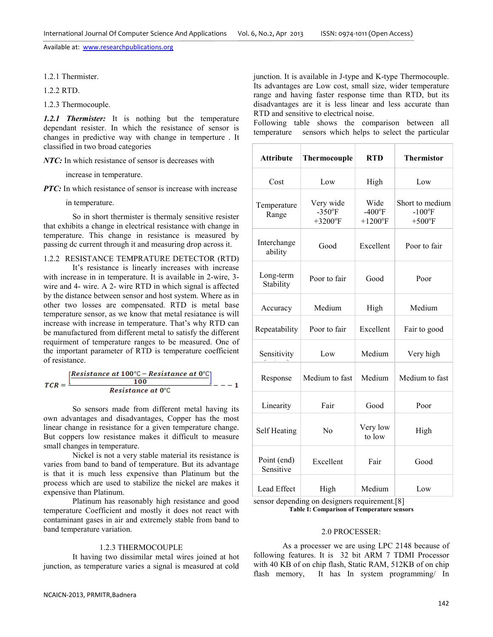1.2.1 Thermister.

1.2.2 RTD.

1.2.3 Thermocouple.

*1.2.1 Thermister:* It is nothing but the temperature dependant resister. In which the resistance of sensor is changes in predictive way with change in temperture . It classified in two broad categories

*NTC:* In which resistance of sensor is decreases with

increase in temperature.

*PTC:* In which resistance of sensor is increase with increase

in temperature.

 So in short thermister is thermaly sensitive resister that exhibits a change in electrical resistance with change in temperature. This change in resistance is measured by passing dc current through it and measuring drop across it.

## 1.2.2 RESISTANCE TEMPRATURE DETECTOR (RTD)

 It's resistance is linearly increases with increase with increase in in temperature. It is available in 2-wire, 3 wire and 4- wire. A 2- wire RTD in which signal is affected by the distance between sensor and host system. Where as in other two losses are compensated. RTD is metal base temperature sensor, as we know that metal resiatance is will increase with increase in temperature. That's why RTD can be manufactured from different metal to satisfy the different requirment of temperature ranges to be measured. One of the important parameter of RTD is temperature coefficient of resistance.

$$
TCR = \frac{\left[\frac{Resistance\ at\ 100^{\circ}\text{C} - Resistance\ at\ 0^{\circ}\text{C}}{100}\right]}{Resistance\ at\ 0^{\circ}\text{C}} - - -1
$$

So sensors made from different metal having its own advantages and disadvantages, Copper has the most linear change in resistance for a given temperature change. But coppers low resistance makes it difficult to measure small changes in temperature.

 Nickel is not a very stable material its resistance is varies from band to band of temperature. But its advantage is that it is much less expensive than Platinum but the process which are used to stabilize the nickel are makes it expensive than Platinum.

 Platinum has reasonably high resistance and good temperature Coefficient and mostly it does not react with contaminant gases in air and extremely stable from band to band temperature variation.

#### 1.2.3 THERMOCOUPLE

It having two dissimilar metal wires joined at hot junction, as temperature varies a signal is measured at cold

junction. It is available in J-type and K-type Thermocouple. Its advantages are Low cost, small size, wider temperature range and having faster response time than RTD, but its disadvantages are it is less linear and less accurate than RTD and sensitive to electrical noise.

Following table shows the comparison between all temperature sensors which helps to select the particular

| <b>Attribute</b>         | Thermocouple                         | <b>RTD</b>                                         | <b>Thermistor</b>                                     |
|--------------------------|--------------------------------------|----------------------------------------------------|-------------------------------------------------------|
| Cost                     | Low                                  | High                                               | Low                                                   |
| Temperature<br>Range     | Very wide<br>$-350$ °F<br>$+3200$ °F | Wide<br>$-400^{\circ}$ F<br>$+1200$ <sup>o</sup> F | Short to medium<br>$-100$ <sup>o</sup> F<br>$+500$ °F |
| Interchange<br>ability   | Good                                 | Excellent                                          | Poor to fair                                          |
| Long-term<br>Stability   | Poor to fair                         | Good                                               | Poor                                                  |
| Accuracy                 | Medium                               | High                                               | Medium                                                |
| Repeatability            | Poor to fair                         | Excellent                                          | Fair to good                                          |
| Sensitivity              | Low                                  | Medium                                             | Very high                                             |
| Response                 | Medium to fast                       | Medium                                             | Medium to fast                                        |
| Linearity                | Fair                                 | Good                                               | Poor                                                  |
| Self Heating             | No                                   | Very low<br>to low                                 | High                                                  |
| Point (end)<br>Sensitive | Excellent                            | Fair                                               | Good                                                  |
| Lead Effect              | High                                 | Medium                                             | Low                                                   |

sensor depending on designers requirement.[8]

**Table I: Comparison of Temperature sensors** 

#### 2.0 PROCESSER:

As a processer we are using LPC 2148 because of following features. It is 32 bit ARM 7 TDMI Processor with 40 KB of on chip flash, Static RAM, 512KB of on chip flash memory, It has In system programming/ In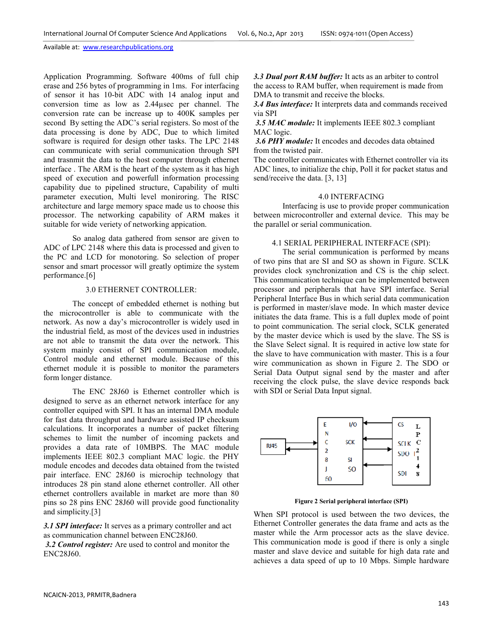Application Programming. Software 400ms of full chip erase and 256 bytes of programming in 1ms. For interfacing of sensor it has 10-bit ADC with 14 analog input and conversion time as low as 2.44µsec per channel. The conversion rate can be increase up to 400K samples per second By setting the ADC's serial registers. So most of the data processing is done by ADC, Due to which limited software is required for design other tasks. The LPC 2148 can communicate with serial communication through SPI and trasnmit the data to the host computer through ethernet interface . The ARM is the heart of the system as it has high speed of execution and powerfull information processing capability due to pipelined structure, Capability of multi parameter execution, Multi level moniroring. The RISC architecture and large memory space made us to choose this processor. The networking capability of ARM makes it suitable for wide veriety of networking appication.

 So analog data gathered from sensor are given to ADC of LPC 2148 where this data is processed and given to the PC and LCD for monotoring. So selection of proper sensor and smart processor will greatly optimize the system performance.[6]

## 3.0 ETHERNET CONTROLLER:

The concept of embedded ethernet is nothing but the microcontroller is able to communicate with the network. As now a day's microcontroller is widely used in the industrial field, as most of the devices used in industries are not able to transmit the data over the network. This system mainly consist of SPI communication module, Control module and ethernet module. Because of this ethernet module it is possible to monitor the parameters form longer distance.

 The ENC 28J60 is Ethernet controller which is designed to serve as an ethernet network interface for any controller equiped with SPI. It has an internal DMA module for fast data throughput and hardware assisted IP checksum calculations. It incorporates a number of packet filtering schemes to limit the number of incoming packets and provides a data rate of 10MBPS. The MAC module implements IEEE 802.3 compliant MAC logic. the PHY module encodes and decodes data obtained from the twisted pair interface. ENC 28J60 is microchip technology that introduces 28 pin stand alone ethernet controller. All other ethernet controllers available in market are more than 80 pins so 28 pins ENC 28J60 will provide good functionality and simplicity.[3]

*3.1 SPI interface:* It serves as a primary controller and act as communication channel between ENC28J60.

 *3.2 Control register:* Are used to control and monitor the ENC28J60.

*3.3 Dual port RAM buffer:* It acts as an arbiter to control the access to RAM buffer, when requirement is made from DMA to transmit and receive the blocks.

*3.4 Bus interface:* It interprets data and commands received via SPI

 *3.5 MAC module:* It implements IEEE 802.3 compliant MAC logic.

 *3.6 PHY module:* It encodes and decodes data obtained from the twisted pair.

The controller communicates with Ethernet controller via its ADC lines, to initialize the chip, Poll it for packet status and send/receive the data. [3, 13]

#### 4.0 INTERFACING

 Interfacing is use to provide proper communication between microcontroller and external device. This may be the parallel or serial communication.

# 4.1 SERIAL PERIPHERAL INTERFACE (SPI):

The serial communication is performed by means of two pins that are SI and SO as shown in Figure. SCLK provides clock synchronization and CS is the chip select. This communication technique can be implemented between processor and peripherals that have SPI interface. Serial Peripheral Interface Bus in which serial data communication is performed in master/slave mode. In which master device initiates the data frame. This is a full duplex mode of point to point communication. The serial clock, SCLK generated by the master device which is used by the slave. The SS is the Slave Select signal. It is required in active low state for the slave to have communication with master. This is a four wire communication as shown in Figure 2. The SDO or Serial Data Output signal send by the master and after receiving the clock pulse, the slave device responds back with SDI or Serial Data Input signal.



**Figure 2 Serial peripheral interface (SPI)**

When SPI protocol is used between the two devices, the Ethernet Controller generates the data frame and acts as the master while the Arm processor acts as the slave device. This communication mode is good if there is only a single master and slave device and suitable for high data rate and achieves a data speed of up to 10 Mbps. Simple hardware